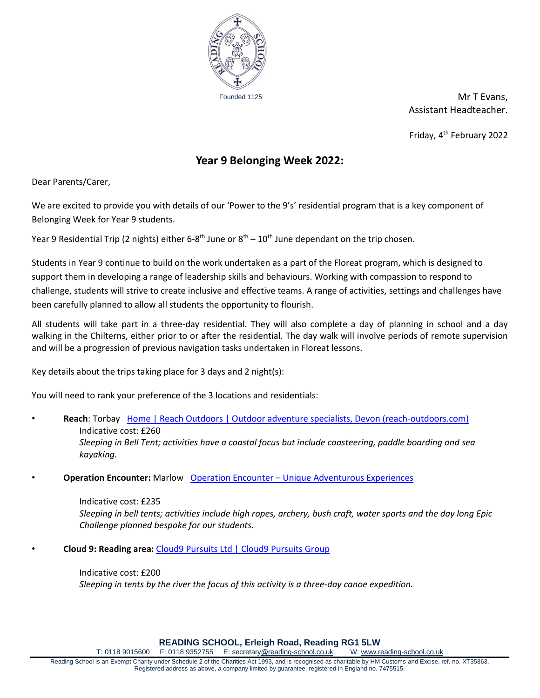

Founded 1125 **Mr T Evans,** Assistant Headteacher.

Friday, 4th February 2022

## **Year 9 Belonging Week 2022:**

Dear Parents/Carer,

We are excited to provide you with details of our 'Power to the 9's' residential program that is a key component of Belonging Week for Year 9 students.

Year 9 Residential Trip (2 nights) either 6-8<sup>th</sup> June or 8<sup>th</sup> – 10<sup>th</sup> June dependant on the trip chosen.

Students in Year 9 continue to build on the work undertaken as a part of the Floreat program, which is designed to support them in developing a range of leadership skills and behaviours. Working with compassion to respond to challenge, students will strive to create inclusive and effective teams. A range of activities, settings and challenges have been carefully planned to allow all students the opportunity to flourish.

All students will take part in a three-day residential. They will also complete a day of planning in school and a day walking in the Chilterns, either prior to or after the residential. The day walk will involve periods of remote supervision and will be a progression of previous navigation tasks undertaken in Floreat lessons.

Key details about the trips taking place for 3 days and 2 night(s):

You will need to rank your preference of the 3 locations and residentials:

- **Reach**: Torbay [Home | Reach Outdoors | Outdoor adventure specialists, Devon \(reach-outdoors.com\)](https://reach-outdoors.com/) Indicative cost: £260 *Sleeping in Bell Tent; activities have a coastal focus but include coasteering, paddle boarding and sea kayaking.*
- **Operation Encounter:** Marlow **Operation Encounter [Unique Adventurous Experiences](https://operationencounter.com/)**

Indicative cost: £235 *Sleeping in bell tents; activities include high ropes, archery, bush craft, water sports and the day long Epic Challenge planned bespoke for our students.*

• **Cloud 9: Reading area:** [Cloud9 Pursuits Ltd | Cloud9 Pursuits Group](https://cloud9pursuits.co.uk/)

Indicative cost: £200 *Sleeping in tents by the river the focus of this activity is a three-day canoe expedition.* 

**READING SCHOOL, Erleigh Road, Reading RG1 5LW**<br>F: 0118 9352755 E: secretary @ reading-school.co.uk W: www.reading-school.co.uk